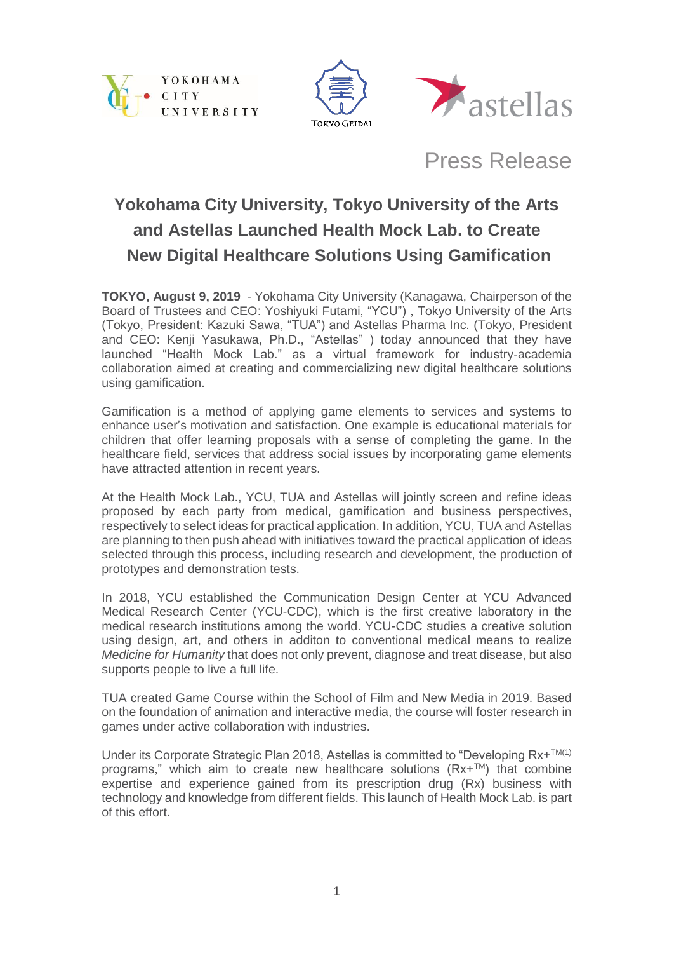





Press Release

# **Yokohama City University, Tokyo University of the Arts and Astellas Launched Health Mock Lab. to Create New Digital Healthcare Solutions Using Gamification**

**TOKYO, August 9, 2019** - Yokohama City University (Kanagawa, Chairperson of the Board of Trustees and CEO: Yoshiyuki Futami, "YCU") , Tokyo University of the Arts (Tokyo, President: Kazuki Sawa, "TUA") and Astellas Pharma Inc. (Tokyo, President and CEO: Kenji Yasukawa, Ph.D., "Astellas" ) today announced that they have launched "Health Mock Lab." as a virtual framework for industry-academia collaboration aimed at creating and commercializing new digital healthcare solutions using gamification.

Gamification is a method of applying game elements to services and systems to enhance user's motivation and satisfaction. One example is educational materials for children that offer learning proposals with a sense of completing the game. In the healthcare field, services that address social issues by incorporating game elements have attracted attention in recent years.

At the Health Mock Lab., YCU, TUA and Astellas will jointly screen and refine ideas proposed by each party from medical, gamification and business perspectives, respectively to select ideas for practical application. In addition, YCU, TUA and Astellas are planning to then push ahead with initiatives toward the practical application of ideas selected through this process, including research and development, the production of prototypes and demonstration tests.

In 2018, YCU established the Communication Design Center at YCU Advanced Medical Research Center (YCU-CDC), which is the first creative laboratory in the medical research institutions among the world. YCU-CDC studies a creative solution using design, art, and others in additon to conventional medical means to realize *Medicine for Humanity* that does not only prevent, diagnose and treat disease, but also supports people to live a full life.

TUA created Game Course within the School of Film and New Media in 2019. Based on the foundation of animation and interactive media, the course will foster research in games under active collaboration with industries.

Under its Corporate Strategic Plan 2018, Astellas is committed to "Developing  $Rx + TM(1)$ programs," which aim to create new healthcare solutions ( $Rx+TM$ ) that combine expertise and experience gained from its prescription drug (Rx) business with technology and knowledge from different fields. This launch of Health Mock Lab. is part of this effort.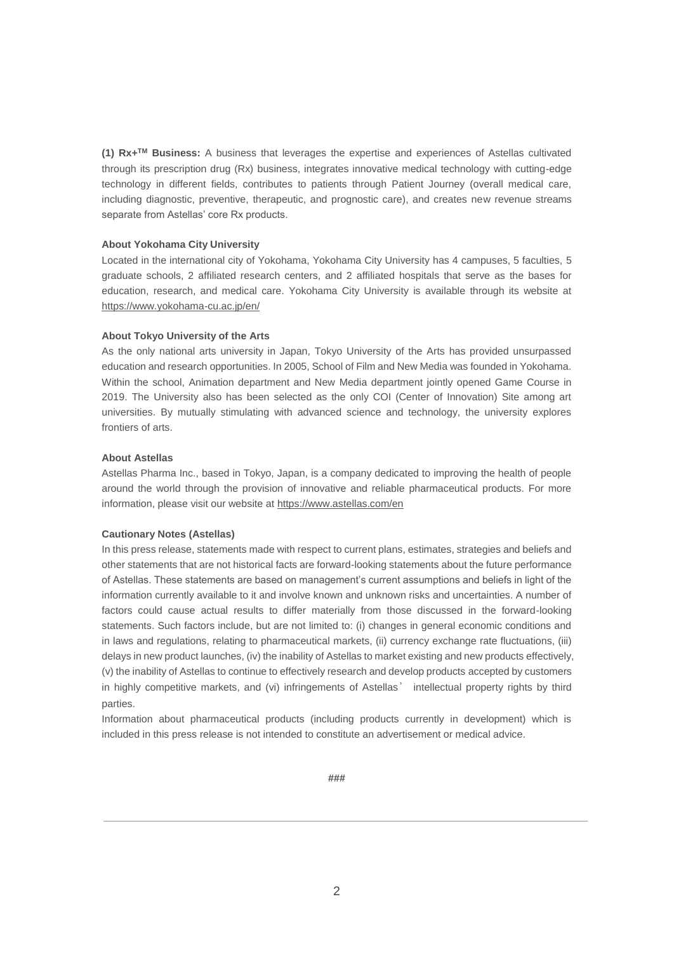**(1) Rx+TM Business:** A business that leverages the expertise and experiences of Astellas cultivated through its prescription drug (Rx) business, integrates innovative medical technology with cutting-edge technology in different fields, contributes to patients through Patient Journey (overall medical care, including diagnostic, preventive, therapeutic, and prognostic care), and creates new revenue streams separate from Astellas' core Rx products.

## **About Yokohama City University**

Located in the international city of Yokohama, Yokohama City University has 4 campuses, 5 faculties, 5 graduate schools, 2 affiliated research centers, and 2 affiliated hospitals that serve as the bases for education, research, and medical care. Yokohama City University is available through its website at <https://www.yokohama-cu.ac.jp/en/>

#### **About Tokyo University of the Arts**

As the only national arts university in Japan, Tokyo University of the Arts has provided unsurpassed education and research opportunities. In 2005, School of Film and New Media was founded in Yokohama. Within the school, Animation department and New Media department jointly opened Game Course in 2019. The University also has been selected as the only COI (Center of Innovation) Site among art universities. By mutually stimulating with advanced science and technology, the university explores frontiers of arts.

## **About Astellas**

Astellas Pharma Inc., based in Tokyo, Japan, is a company dedicated to improving the health of people around the world through the provision of innovative and reliable pharmaceutical products. For more information, please visit our website at<https://www.astellas.com/en>

#### **Cautionary Notes (Astellas)**

In this press release, statements made with respect to current plans, estimates, strategies and beliefs and other statements that are not historical facts are forward-looking statements about the future performance of Astellas. These statements are based on management's current assumptions and beliefs in light of the information currently available to it and involve known and unknown risks and uncertainties. A number of factors could cause actual results to differ materially from those discussed in the forward-looking statements. Such factors include, but are not limited to: (i) changes in general economic conditions and in laws and regulations, relating to pharmaceutical markets, (ii) currency exchange rate fluctuations, (iii) delays in new product launches, (iv) the inability of Astellas to market existing and new products effectively, (v) the inability of Astellas to continue to effectively research and develop products accepted by customers in highly competitive markets, and (vi) infringements of Astellas' intellectual property rights by third parties.

Information about pharmaceutical products (including products currently in development) which is included in this press release is not intended to constitute an advertisement or medical advice.